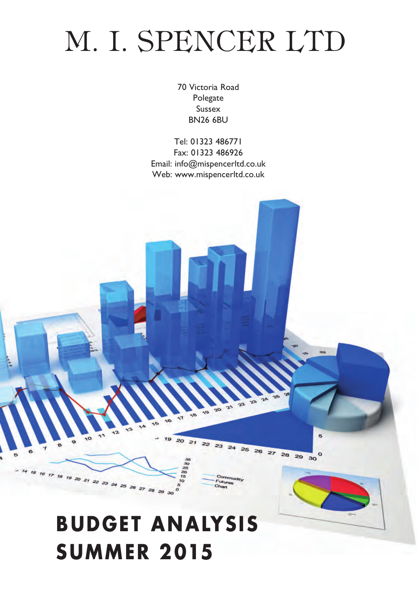# M. I. SPENCER LTD

70 Victoria Road Polegate Sussex BN26 6BU

Tel: 01323 486771 Fax: 01323 486926 Email: info@mispencerltd.co.uk Web: www.mispencerltd.co.uk



**SUMMER 2015**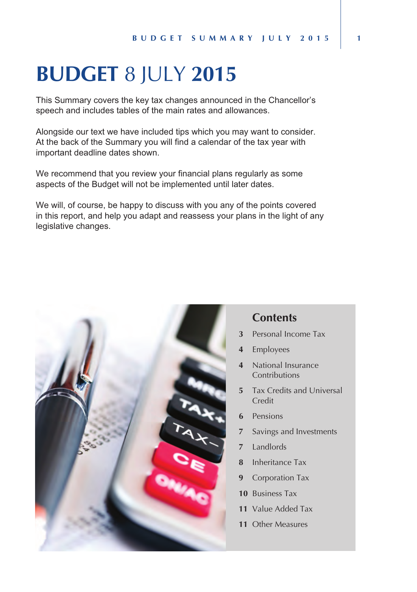## **BUDGET** 8 JULY **2015**

*This Summary covers the key tax changes announced in the Chancellor's speech and includes tables of the main rates and allowances.*

*Alongside our text we have included tips which you may want to consider. At the back of the Summary you will find a calendar of the tax year with important deadline dates shown.*

*We recommend that you review your financial plans regularly as some aspects of the Budget will not be implemented until later dates.*

*We will, of course, be happy to discuss with you any of the points covered in this report, and help you adapt and reassess your plans in the light of any legislative changes.*



#### **Contents**

- **3** Personal Income Tax
- **4** Employees
- **4** National Insurance Contributions
- **5** Tax Credits and Universal Credit
- **6** Pensions
- **7** Savings and Investments
- **7** Landlords
- **8** Inheritance Tax
- **9** Corporation Tax
- **10** Business Tax
- **11** Value Added Tax
- **11** Other Measures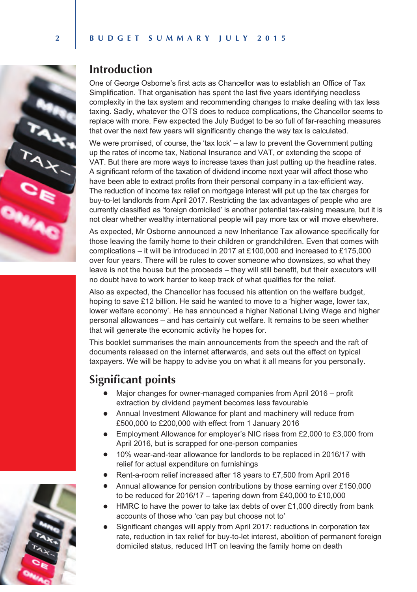



### **Introduction**

*One of George Osborne's first acts as Chancellor was to establish an Office of Tax Simplification. That organisation has spent the last five years identifying needless complexity in the tax system and recommending changes to make dealing with tax less taxing. Sadly, whatever the OTS does to reduce complications, the Chancellor seems to replace with more. Few expected the July Budget to be so full of far-reaching measures that over the next few years will significantly change the way tax is calculated.*

We were promised, of course, the 'tax lock' – a law to prevent the Government putting *up the rates of income tax, National Insurance and VAT, or extending the scope of VAT. But there are more ways to increase taxes than just putting up the headline rates. A significant reform of the taxation of dividend income next year will affect those who have been able to extract profits from their personal company in a tax-efficient way. The reduction of income tax relief on mortgage interest will put up the tax charges for buy-to-let landlords from April 2017. Restricting the tax advantages of people who are currently classified as 'foreign domiciled' is another potential tax-raising measure, but it is not clear whether wealthy international people will pay more tax or will move elsewhere.*

*As expected, Mr Osborne announced a new Inheritance Tax allowance specifically for those leaving the family home to their children or grandchildren. Even that comes with complications – it will be introduced in 2017 at £100,000 and increased to £175,000 over four years. There will be rules to cover someone who downsizes, so what they*  leave is not the house but the proceeds – they will still benefit, but their executors will *no doubt have to work harder to keep track of what qualifies for the relief.*

*Also as expected, the Chancellor has focused his attention on the welfare budget, hoping to save £12 billion. He said he wanted to move to a 'higher wage, lower tax, lower welfare economy'. He has announced a higher National Living Wage and higher personal allowances – and has certainly cut welfare. It remains to be seen whether that will generate the economic activity he hopes for.*

This booklet summarises the main announcements from the speech and the raft of documents released on the internet afterwards, and sets out the effect on typical *taxpayers. We will be happy to advise you on what it all means for you personally.*

### **Significant points**

- *Major changes for owner-managed companies from April 2016 profit extraction by dividend payment becomes less favourable*
- *Annual Investment Allowance for plant and machinery will reduce from £500,000 to £200,000 with effect from 1 January 2016*
- *Employment Allowance for employer's NIC rises from £2,000 to £3,000 from April 2016, but is scrapped for one-person companies*
- *10% wear-and-tear allowance for landlords to be replaced in 2016/17 with relief for actual expenditure on furnishings*
- *Rent-a-room relief increased after 18 years to £7,500 from April 2016*
- *Annual allowance for pension contributions by those earning over £150,000 to be reduced for 2016/17 – tapering down from £40,000 to £10,000*
- *HMRC to have the power to take tax debts of over £1,000 directly from bank accounts of those who 'can pay but choose not to'*
- *Significant changes will apply from April 2017: reductions in corporation tax rate, reduction in tax relief for buy-to-let interest, abolition of permanent foreign domiciled status, reduced IHT on leaving the family home on death*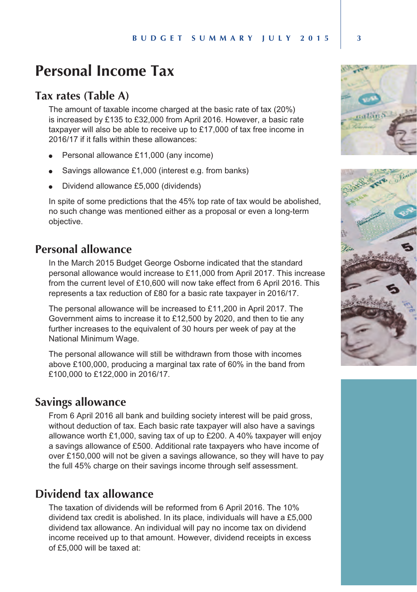## **Personal Income Tax**

#### **Tax rates (Table A)**

*The amount of taxable income charged at the basic rate of tax (20%) is increased by £135 to £32,000 from April 2016. However, a basic rate*  taxpayer will also be able to receive up to £17,000 of tax free income in *2016/17 if it falls within these allowances:*

- <sup>l</sup> *Personal allowance £11,000 (any income)*
- Savings allowance £1,000 (interest e.g. from banks)
- <sup>l</sup> *Dividend allowance £5,000 (dividends)*

*In spite of some predictions that the 45% top rate of tax would be abolished, no such change was mentioned either as a proposal or even a long-term objective.*

## **Personal allowance**

*In the March 2015 Budget George Osborne indicated that the standard personal allowance would increase to £11,000 from April 2017. This increase from the current level of £10,600 will now take effect from 6 April 2016. This represents a tax reduction of £80 for a basic rate taxpayer in 2016/17.*

*The personal allowance will be increased to £11,200 in April 2017. The Government aims to increase it to £12,500 by 2020, and then to tie any*  further increases to the equivalent of 30 hours per week of pay at the *National Minimum Wage.*

*The personal allowance will still be withdrawn from those with incomes above £100,000, producing a marginal tax rate of 60% in the band from £100,000 to £122,000 in 2016/17.*

#### **Savings allowance**

*From 6 April 2016 all bank and building society interest will be paid gross, without deduction of tax. Each basic rate taxpayer will also have a savings allowance worth £1,000, saving tax of up to £200. A 40% taxpayer will enjoy a savings allowance of £500. Additional rate taxpayers who have income of over £150,000 will not be given a savings allowance, so they will have to pay the full 45% charge on their savings income through self assessment.*

### **Dividend tax allowance**

*The taxation of dividends will be reformed from 6 April 2016. The 10% dividend tax credit is abolished. In its place, individuals will have a £5,000 dividend tax allowance. An individual will pay no income tax on dividend income received up to that amount. However, dividend receipts in excess of £5,000 will be taxed at:*



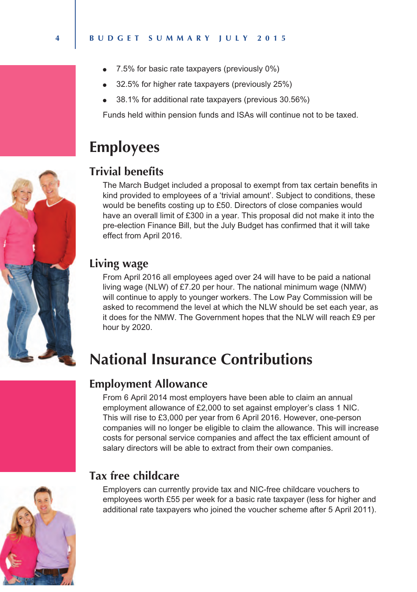- <sup>l</sup> *7.5% for basic rate taxpayers (previously 0%)*
- <sup>l</sup> *32.5% for higher rate taxpayers (previously 25%)*
- <sup>l</sup> *38.1% for additional rate taxpayers (previous 30.56%)*

*Funds held within pension funds and ISAs will continue not to be taxed.*

## **Employees**

### **Trivial benefits**

*The March Budget included a proposal to exempt from tax certain benefits in kind provided to employees of a 'trivial amount'. Subject to conditions, these would be benefits costing up to £50. Directors of close companies would*  have an overall limit of £300 in a year. This proposal did not make it into the *pre-election Finance Bill, but the July Budget has confirmed that it will take effect from April 2016.*

### **Living wage**

*From April 2016 all employees aged over 24 will have to be paid a national living wage (NLW) of £7.20 per hour. The national minimum wage (NMW) will continue to apply to younger workers. The Low Pay Commission will be asked to recommend the level at which the NLW should be set each year, as it does for the NMW. The Government hopes that the NLW will reach £9 per hour by 2020.*

## **National Insurance Contributions**

#### **Employment Allowance**

*From 6 April 2014 most employers have been able to claim an annual employment allowance of £2,000 to set against employer's class 1 NIC. This will rise to £3,000 per year from 6 April 2016. However, one-person companies will no longer be eligible to claim the allowance. This will increase costs for personal service companies and affect the tax efficient amount of salary directors will be able to extract from their own companies.*



## **Tax free childcare**

*Employers can currently provide tax and NIC-free childcare vouchers to employees worth £55 per week for a basic rate taxpayer (less for higher and additional rate taxpayers who joined the voucher scheme after 5 April 2011).* 



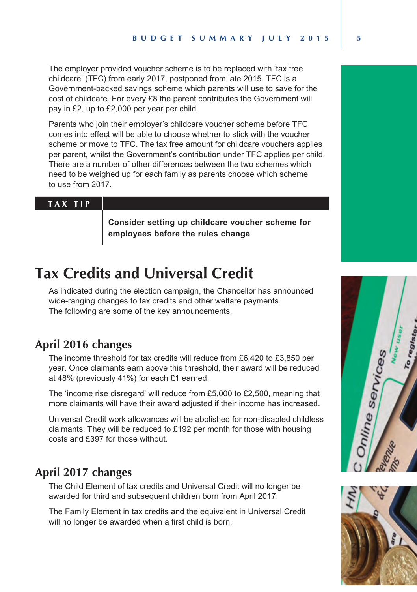*The employer provided voucher scheme is to be replaced with 'tax free childcare' (TFC) from early 2017, postponed from late 2015. TFC is a Government-backed savings scheme which parents will use to save for the cost of childcare. For every £8 the parent contributes the Government will pay in £2, up to £2,000 per year per child.*

*Parents who join their employer's childcare voucher scheme before TFC comes into effect will be able to choose whether to stick with the voucher scheme or move to TFC. The tax free amount for childcare vouchers applies per parent, whilst the Government's contribution under TFC applies per child. There are a number of other differences between the two schemes which need to be weighed up for each family as parents choose which scheme to use from 2017.* 

#### T A X T I P

*Consider setting up childcare voucher scheme for employees before the rules change*

## **Tax Credits and Universal Credit**

*As indicated during the election campaign, the Chancellor has announced wide-ranging changes to tax credits and other welfare payments. The following are some of the key announcements.*

### **April 2016 changes**

*The income threshold for tax credits will reduce from £6,420 to £3,850 per year. Once claimants earn above this threshold, their award will be reduced at 48% (previously 41%) for each £1 earned.* 

*The 'income rise disregard' will reduce from £5,000 to £2,500, meaning that more claimants will have their award adjusted if their income has increased.*

*Universal Credit work allowances will be abolished for non-disabled childless claimants. They will be reduced to £192 per month for those with housing costs and £397 for those without.*

#### **April 2017 changes**

*The Child Element of tax credits and Universal Credit will no longer be awarded for third and subsequent children born from April 2017.* 

*The Family Element in tax credits and the equivalent in Universal Credit will no longer be awarded when a first child is born.*



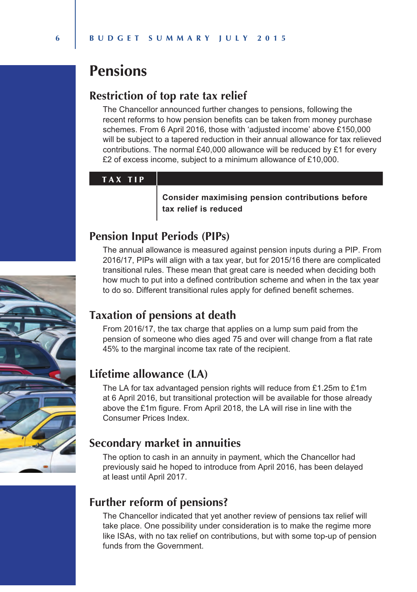## **Pensions**

#### **Restriction of top rate tax relief**

*The Chancellor announced further changes to pensions, following the recent reforms to how pension benefits can be taken from money purchase schemes. From 6 April 2016, those with 'adjusted income' above £150,000*  will be subject to a tapered reduction in their annual allowance for tax relieved *contributions. The normal £40,000 allowance will be reduced by £1 for every £2 of excess income, subject to a minimum allowance of £10,000.*

#### T A X T I P

*Consider maximising pension contributions before tax relief is reduced*

#### **Pension Input Periods (PIPs)**

*The annual allowance is measured against pension inputs during a PIP. From 2016/17, PIPs will align with a tax year, but for 2015/16 there are complicated transitional rules. These mean that great care is needed when deciding both how much to put into a defined contribution scheme and when in the tax year to do so. Different transitional rules apply for defined benefit schemes.*

### **Taxation of pensions at death**

*From 2016/17, the tax charge that applies on a lump sum paid from the pension of someone who dies aged 75 and over will change from a flat rate 45% to the marginal income tax rate of the recipient.*

#### **Lifetime allowance (LA)**

*The LA for tax advantaged pension rights will reduce from £1.25m to £1m at 6 April 2016, but transitional protection will be available for those already above the £1m figure. From April 2018, the LA will rise in line with the Consumer Prices Index.*

### **Secondary market in annuities**

*The option to cash in an annuity in payment, which the Chancellor had previously said he hoped to introduce from April 2016, has been delayed at least until April 2017.*

### **Further reform of pensions?**

The Chancellor indicated that yet another review of pensions tax relief will *take place. One possibility under consideration is to make the regime more*  like ISAs, with no tax relief on contributions, but with some top-up of pension *funds from the Government.*

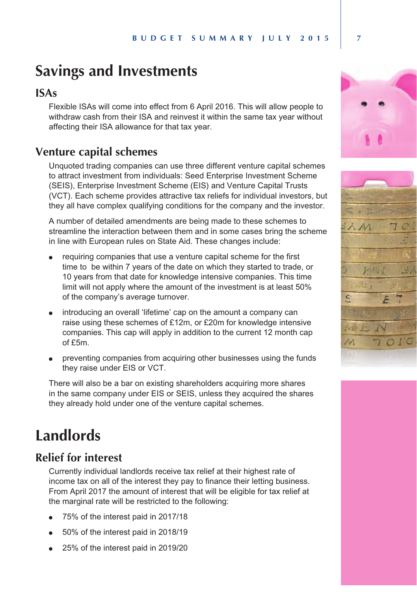## **Savings and Investments**

#### **ISAs**

*Flexible ISAs will come into effect from 6 April 2016. This will allow people to withdraw cash from their ISA and reinvest it within the same tax year without affecting their ISA allowance for that tax year.*

### **Venture capital schemes**

*Unquoted trading companies can use three different venture capital schemes to attract investment from individuals: Seed Enterprise Investment Scheme (SEIS), Enterprise Investment Scheme (EIS) and Venture Capital Trusts (VCT). Each scheme provides attractive tax reliefs for individual investors, but they all have complex qualifying conditions for the company and the investor.*

*A number of detailed amendments are being made to these schemes to streamline the interaction between them and in some cases bring the scheme in line with European rules on State Aid. These changes include:*

- requiring companies that use a venture capital scheme for the first *time to be within 7 years of the date on which they started to trade, or 10 years from that date for knowledge intensive companies. This time limit will not apply where the amount of the investment is at least 50% of the company's average turnover.*
- <sup>l</sup> *introducing an overall 'lifetime' cap on the amount a company can raise using these schemes of £12m, or £20m for knowledge intensive companies. This cap will apply in addition to the current 12 month cap of £5m.*
- <sup>l</sup> *preventing companies from acquiring other businesses using the funds they raise under EIS or VCT.*

*There will also be a bar on existing shareholders acquiring more shares in the same company under EIS or SEIS, unless they acquired the shares they already hold under one of the venture capital schemes.*

## **Landlords**

### **Relief for interest**

*Currently individual landlords receive tax relief at their highest rate of income tax on all of the interest they pay to finance their letting business. From April 2017 the amount of interest that will be eligible for tax relief at the marginal rate will be restricted to the following:*

- <sup>l</sup> *75% of the interest paid in 2017/18*
- <sup>l</sup> *50% of the interest paid in 2018/19*
- <sup>l</sup> *25% of the interest paid in 2019/20*



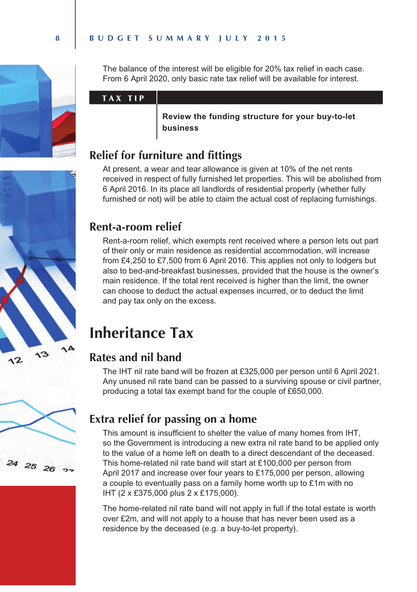

*The balance of the interest will be eligible for 20% tax relief in each case. From 6 April 2020, only basic rate tax relief will be available for interest.*

#### T A X T I P

*Review the funding structure for your buy-to-let business*

## **Relief for furniture and fittings**

*At present, a wear and tear allowance is given at 10% of the net rents received in respect of fully furnished let properties. This will be abolished from 6 April 2016. In its place all landlords of residential property (whether fully furnished or not) will be able to claim the actual cost of replacing furnishings.*

### **Rent-a-room relief**

*Rent-a-room relief, which exempts rent received where a person lets out part of their only or main residence as residential accommodation, will increase from £4,250 to £7,500 from 6 April 2016. This applies not only to lodgers but also to bed-and-breakfast businesses, provided that the house is the owner's*  main residence. If the total rent received is higher than the limit, the owner *can choose to deduct the actual expenses incurred, or to deduct the limit and pay tax only on the excess.*

## **Inheritance Tax**

## **Rates and nil band**

*The IHT nil rate band will be frozen at £325,000 per person until 6 April 2021. Any unused nil rate band can be passed to a surviving spouse or civil partner, producing a total tax exempt band for the couple of £650,000.* 



## **Extra relief for passing on a home**

*This amount is insufficient to shelter the value of many homes from IHT, so the Government is introducing a new extra nil rate band to be applied only to the value of a home left on death to a direct descendant of the deceased. This home-related nil rate band will start at £100,000 per person from April 2017 and increase over four years to £175,000 per person, allowing a couple to eventually pass on a family home worth up to £1m with no IHT (2 x £375,000 plus 2 x £175,000).* 

*The home-related nil rate band will not apply in full if the total estate is worth over £2m, and will not apply to a house that has never been used as a residence by the deceased (e.g. a buy-to-let property).*

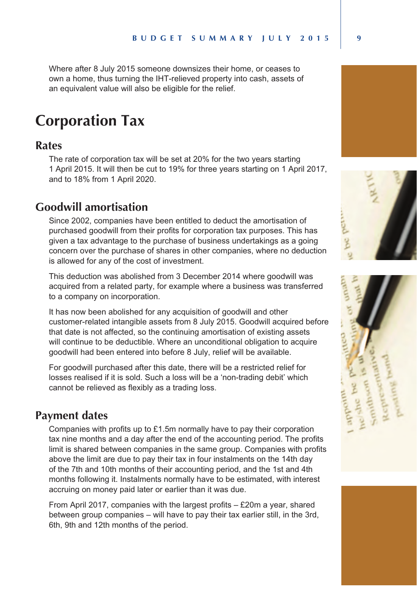*Where after 8 July 2015 someone downsizes their home, or ceases to own a home, thus turning the IHT-relieved property into cash, assets of an equivalent value will also be eligible for the relief.*

## **Corporation Tax**

#### **Rates**

*The rate of corporation tax will be set at 20% for the two years starting 1 April 2015. It will then be cut to 19% for three years starting on 1 April 2017, and to 18% from 1 April 2020.*

#### **Goodwill amortisation**

*Since 2002, companies have been entitled to deduct the amortisation of purchased goodwill from their profits for corporation tax purposes. This has given a tax advantage to the purchase of business undertakings as a going concern over the purchase of shares in other companies, where no deduction is allowed for any of the cost of investment.*

*This deduction was abolished from 3 December 2014 where goodwill was acquired from a related party, for example where a business was transferred to a company on incorporation.*

*It has now been abolished for any acquisition of goodwill and other customer-related intangible assets from 8 July 2015. Goodwill acquired before that date is not affected, so the continuing amortisation of existing assets*  will continue to be deductible. Where an unconditional obligation to acquire *goodwill had been entered into before 8 July, relief will be available.*

*For goodwill purchased after this date, there will be a restricted relief for losses realised if it is sold. Such a loss will be a 'non-trading debit' which cannot be relieved as flexibly as a trading loss.*

### **Payment dates**

*Companies with profits up to £1.5m normally have to pay their corporation tax nine months and a day after the end of the accounting period. The profits limit is shared between companies in the same group. Companies with profits above the limit are due to pay their tax in four instalments on the 14th day of the 7th and 10th months of their accounting period, and the 1st and 4th months following it. Instalments normally have to be estimated, with interest accruing on money paid later or earlier than it was due.*

*From April 2017, companies with the largest profits – £20m a year, shared between group companies – will have to pay their tax earlier still, in the 3rd, 6th, 9th and 12th months of the period.*





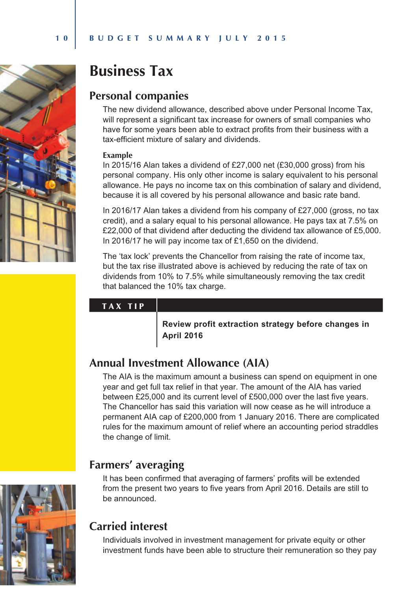

## **Business Tax**

### **Personal companies**

*The new dividend allowance, described above under Personal Income Tax, will represent a significant tax increase for owners of small companies who have for some years been able to extract profits from their business with a tax-efficient mixture of salary and dividends.*

#### **Example**

*In 2015/16 Alan takes a dividend of £27,000 net (£30,000 gross) from his personal company. His only other income is salary equivalent to his personal allowance. He pays no income tax on this combination of salary and dividend, because it is all covered by his personal allowance and basic rate band.* 

*In 2016/17 Alan takes a dividend from his company of £27,000 (gross, no tax credit), and a salary equal to his personal allowance. He pays tax at 7.5% on £22,000 of that dividend after deducting the dividend tax allowance of £5,000. In 2016/17 he will pay income tax of £1,650 on the dividend.*

*The 'tax lock' prevents the Chancellor from raising the rate of income tax, but the tax rise illustrated above is achieved by reducing the rate of tax on dividends from 10% to 7.5% while simultaneously removing the tax credit that balanced the 10% tax charge.*

#### TAX TIP

*Review profit extraction strategy before changes in April 2016*

## **Annual Investment Allowance (AIA)**

*The AIA is the maximum amount a business can spend on equipment in one year and get full tax relief in that year. The amount of the AIA has varied between £25,000 and its current level of £500,000 over the last five years. The Chancellor has said this variation will now cease as he will introduce a permanent AIA cap of £200,000 from 1 January 2016. There are complicated rules for the maximum amount of relief where an accounting period straddles the change of limit.*

## **Farmers' averaging**

*It has been confirmed that averaging of farmers' profits will be extended from the present two years to five years from April 2016. Details are still to be announced.*



## **Carried interest**

*Individuals involved in investment management for private equity or other investment funds have been able to structure their remuneration so they pay*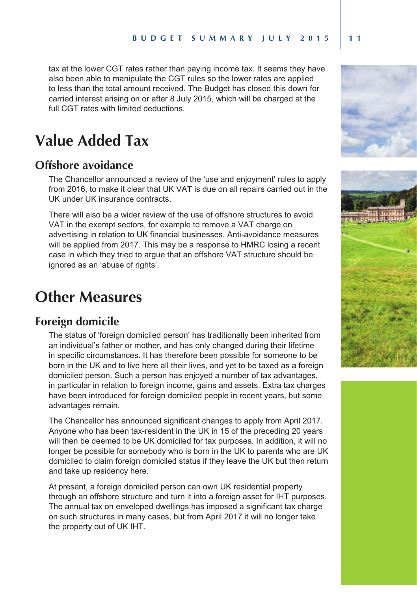tax at the lower CGT rates rather than paying income tax. It seems they have also been able to manipulate the CGT rules so the lower rates are applied *to less than the total amount received. The Budget has closed this down for carried interest arising on or after 8 July 2015, which will be charged at the full CGT rates with limited deductions.*

## **Value Added Tax**

### **Offshore avoidance**

*The Chancellor announced a review of the 'use and enjoyment' rules to apply*  from 2016, to make it clear that UK VAT is due on all repairs carried out in the *UK under UK insurance contracts.* 

*There will also be a wider review of the use of offshore structures to avoid VAT in the exempt sectors, for example to remove a VAT charge on advertising in relation to UK financial businesses. Anti-avoidance measures will be applied from 2017. This may be a response to HMRC losing a recent case in which they tried to argue that an offshore VAT structure should be ignored as an 'abuse of rights'.*

## **Other Measures**

#### **Foreign domicile**

*The status of 'foreign domiciled person' has traditionally been inherited from an individual's father or mother, and has only changed during their lifetime in specific circumstances. It has therefore been possible for someone to be*  born in the UK and to live here all their lives, and yet to be taxed as a foreign *domiciled person. Such a person has enjoyed a number of tax advantages, in particular in relation to foreign income, gains and assets. Extra tax charges have been introduced for foreign domiciled people in recent years, but some advantages remain.*

*The Chancellor has announced significant changes to apply from April 2017. Anyone who has been tax-resident in the UK in 15 of the preceding 20 years will then be deemed to be UK domiciled for tax purposes. In addition, it will no longer be possible for somebody who is born in the UK to parents who are UK domiciled to claim foreign domiciled status if they leave the UK but then return and take up residency here.* 

*At present, a foreign domiciled person can own UK residential property through an offshore structure and turn it into a foreign asset for IHT purposes. The annual tax on enveloped dwellings has imposed a significant tax charge on such structures in many cases, but from April 2017 it will no longer take the property out of UK IHT.*



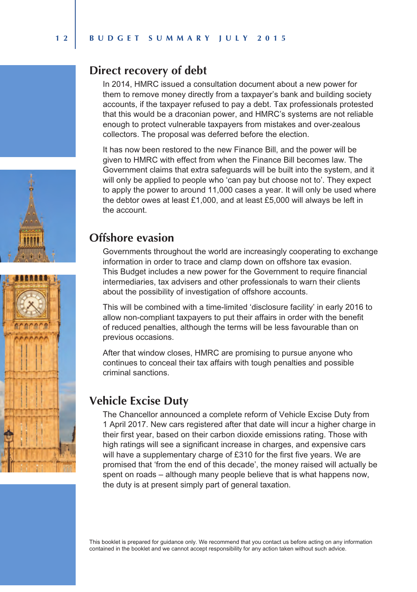### **Direct recovery of debt**

*In 2014, HMRC issued a consultation document about a new power for them to remove money directly from a taxpayer's bank and building society accounts, if the taxpayer refused to pay a debt. Tax professionals protested that this would be a draconian power, and HMRC's systems are not reliable enough to protect vulnerable taxpayers from mistakes and over-zealous collectors. The proposal was deferred before the election.*

*It has now been restored to the new Finance Bill, and the power will be given to HMRC with effect from when the Finance Bill becomes law. The Government claims that extra safeguards will be built into the system, and it will only be applied to people who 'can pay but choose not to'. They expect*  to apply the power to around 11,000 cases a year. It will only be used where *the debtor owes at least £1,000, and at least £5,000 will always be left in the account.*

#### **Offshore evasion**

*Governments throughout the world are increasingly cooperating to exchange information in order to trace and clamp down on offshore tax evasion. This Budget includes a new power for the Government to require financial intermediaries, tax advisers and other professionals to warn their clients about the possibility of investigation of offshore accounts.* 

*This will be combined with a time-limited 'disclosure facility' in early 2016 to allow non-compliant taxpayers to put their affairs in order with the benefit of reduced penalties, although the terms will be less favourable than on previous occasions.*

*After that window closes, HMRC are promising to pursue anyone who continues to conceal their tax affairs with tough penalties and possible criminal sanctions.*

## **Vehicle Excise Duty**

*The Chancellor announced a complete reform of Vehicle Excise Duty from 1 April 2017. New cars registered after that date will incur a higher charge in their first year, based on their carbon dioxide emissions rating. Those with high ratings will see a significant increase in charges, and expensive cars*  will have a supplementary charge of £310 for the first five years. We are *promised that 'from the end of this decade', the money raised will actually be spent on roads – although many people believe that is what happens now, the duty is at present simply part of general taxation.*

*This booklet is prepared for guidance only. We recommend that you contact us before acting on any information contained in the booklet and we cannot accept responsibility for any action taken without such advice.*



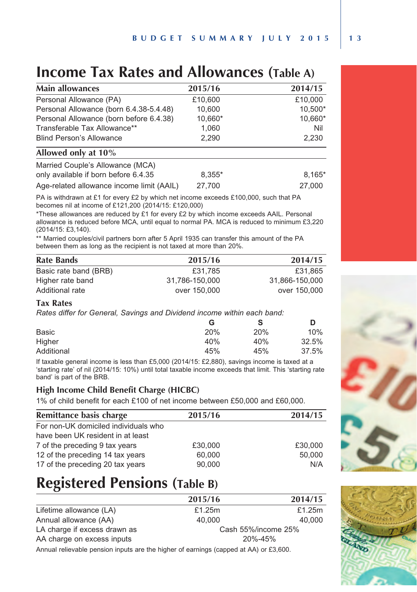## **Income Tax Rates and Allowances (Table A)**

| <b>Main allowances</b>                    | 2015/16 | 2014/15 |  |
|-------------------------------------------|---------|---------|--|
| Personal Allowance (PA)                   | £10.600 | £10.000 |  |
| Personal Allowance (born 6.4.38-5.4.48)   | 10.600  | 10.500* |  |
| Personal Allowance (born before 6.4.38)   | 10,660* | 10,660* |  |
| Transferable Tax Allowance**              | 1,060   | Nil     |  |
| <b>Blind Person's Allowance</b>           | 2,290   | 2,230   |  |
| Allowed only at 10%                       |         |         |  |
| Married Couple's Allowance (MCA)          |         |         |  |
| only available if born before 6.4.35      | 8.355*  | 8,165*  |  |
| Age-related allowance income limit (AAIL) | 27.700  | 27.000  |  |

*PA is withdrawn at £1 for every £2 by which net income exceeds £100,000, such that PA becomes nil at income of £121,200 (2014/15: £120,000)* 

*\*These allowances are reduced by £1 for every £2 by which income exceeds AAIL. Personal allowance is reduced before MCA, until equal to normal PA. MCA is reduced to minimum £3,220 (2014/15: £3,140).*

*\*\* Married couples/civil partners born after 5 April 1935 can transfer this amount of the PA between them as long as the recipient is not taxed at more than 20%.*

| <b>Rate Bands</b>     | 2015/16        | 2014/15        |
|-----------------------|----------------|----------------|
| Basic rate band (BRB) | £31.785        | £31.865        |
| Higher rate band      | 31.786-150.000 | 31.866-150.000 |
| Additional rate       | over 150,000   | over 150,000   |

#### **Tax Rates**

*Rates differ for General, Savings and Dividend income within each band:*

| G   | s   | D     |
|-----|-----|-------|
| 20% | 20% | 10%   |
| 40% | 40% | 32.5% |
| 45% | 45% | 37.5% |
|     |     |       |

*If taxable general income is less than £5,000 (2014/15: £2,880), savings income is taxed at a 'starting rate' of nil (2014/15: 10%) until total taxable income exceeds that limit. This 'starting rate band' is part of the BRB.*

#### **High Income Child Benefit Charge (HICBC)**

*1% of child benefit for each £100 of net income between £50,000 and £60,000.* 

| Remittance basis charge              | 2015/16 | 2014/15 |
|--------------------------------------|---------|---------|
| For non-UK domiciled individuals who |         |         |
| have been UK resident in at least    |         |         |
| 7 of the preceding 9 tax years       | £30,000 | £30,000 |
| 12 of the preceding 14 tax years     | 60,000  | 50,000  |
| 17 of the preceding 20 tax years     | 90.000  | N/A     |

## **Registered Pensions (Table B)**

|                              | 2015/16             | 2014/15 |
|------------------------------|---------------------|---------|
| Lifetime allowance (LA)      | £1.25m              | £1.25m  |
| Annual allowance (AA)        | 40.000              | 40.000  |
| LA charge if excess drawn as | Cash 55%/income 25% |         |
| AA charge on excess inputs   | 20%-45%             |         |
|                              |                     |         |

*Annual relievable pension inputs are the higher of earnings (capped at AA) or £3,600.*



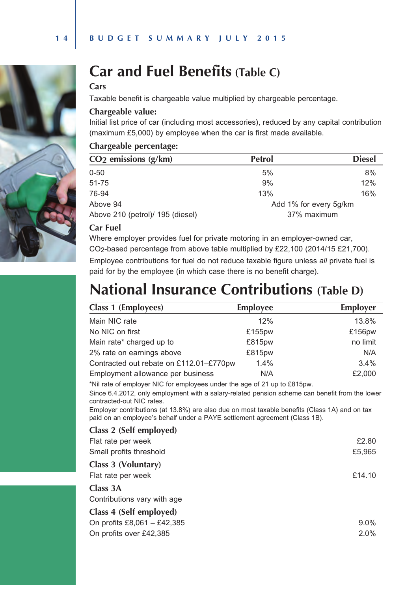



#### **Cars**

*Taxable benefit is chargeable value multiplied by chargeable percentage.*

#### **Chargeable value:**

*Initial list price of car (including most accessories), reduced by any capital contribution (maximum £5,000) by employee when the car is first made available.*

#### **Chargeable percentage:**

| CO <sub>2</sub> emissions (g/km)                | <b>Petrol</b>          | <b>Diesel</b> |  |
|-------------------------------------------------|------------------------|---------------|--|
| $0 - 50$                                        | 5%                     | 8%            |  |
| 51-75                                           | 9%                     | 12%           |  |
| 76-94                                           | 13%                    | 16%           |  |
| Above 94                                        | Add 1% for every 5q/km |               |  |
| 37% maximum<br>Above 210 (petrol)/ 195 (diesel) |                        |               |  |

#### **Car Fuel**

*Where employer provides fuel for private motoring in an employer-owned car, CO2-based percentage from above table multiplied by £22,100 (2014/15 £21,700).*

*Employee contributions for fuel do not reduce taxable figure unless all private fuel is paid for by the employee (in which case there is no benefit charge).*

## **National Insurance Contributions (Table D)**

| Class 1 (Employees)                     | Employee | Employer |
|-----------------------------------------|----------|----------|
| Main NIC rate                           | 12%      | 13.8%    |
| No NIC on first                         | £155pw   | £156pw   |
| Main rate* charged up to                | £815pw   | no limit |
| 2% rate on earnings above               | £815pw   | N/A      |
| Contracted out rebate on £112.01-£770pw | 1.4%     | 3.4%     |
| Employment allowance per business       | N/A      | £2,000   |

*\*Nil rate of employer NIC for employees under the age of 21 up to £815pw.*

*Since 6.4.2012, only employment with a salary-related pension scheme can benefit from the lower contracted-out NIC rates.*

*Employer contributions (at 13.8%) are also due on most taxable benefits (Class 1A) and on tax paid on an employee's behalf under a PAYE settlement agreement (Class 1B).*

#### **Class 2 (Self employed)**

| Flat rate per week          | £2.80   |
|-----------------------------|---------|
| Small profits threshold     | £5,965  |
| Class 3 (Voluntary)         |         |
| Flat rate per week          | £14.10  |
| Class 3A                    |         |
| Contributions vary with age |         |
| Class 4 (Self employed)     |         |
| On profits £8,061 - £42,385 | $9.0\%$ |
| On profits over £42,385     | 2.0%    |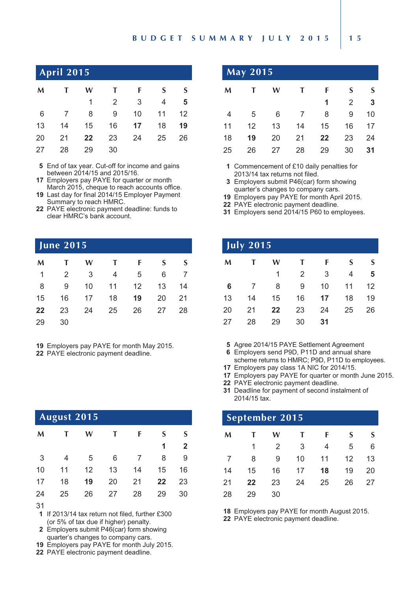#### **B U D G E T S U M M A R Y J U L Y 2 0 1 5 1 5**

| April 2015 $^{\dagger}$ |
|-------------------------|
|-------------------------|

| M  | T               | W  | $\mathbf{T}$ | F                       | <sub>S</sub> | S  |
|----|-----------------|----|--------------|-------------------------|--------------|----|
|    |                 | 1  | 2            | $\overline{\mathbf{3}}$ | 4            | 5  |
| 6  | $7\overline{ }$ | 8  | 9            | 10 <sup>1</sup>         | 11           | 12 |
| 13 | 14              | 15 | 16           | 17 <sup>17</sup>        | 18           | 19 |
| 20 | 21              | 22 | 23           | 24                      | 25           | 26 |
| 27 | 28              | 29 | 30           |                         |              |    |

*End of tax year. Cut-off for income and gains between 2014/15 and 2015/16.*

 *Employers pay PAYE for quarter or month March 2015, cheque to reach accounts office. 19 Last day for final 2014/15 Employer Payment* 

- *Summary to reach HMRC.*
- *PAYE electronic payment deadline: funds to clear HMRC's bank account.*

#### **June 2015**

| M  | T. | W  | $\mathbf{T}$ | F                 | S  | S  |
|----|----|----|--------------|-------------------|----|----|
| 1  | 2  | 3  | 4            | 5                 | 6  |    |
| 8  | 9  | 10 | 11           | $12 \overline{ }$ | 13 | 14 |
| 15 | 16 | 17 | 18           | 19                | 20 | 21 |
| 22 | 23 | 24 | 25           | 26                | 27 | 28 |
| 29 | 30 |    |              |                   |    |    |

*Employers pay PAYE for month May 2015.*

*PAYE electronic payment deadline.* 

|                  | August 2015 |    |    |    |    |                |
|------------------|-------------|----|----|----|----|----------------|
| M                |             | w  | т  | F  | S  | S              |
|                  |             |    |    |    | 1  | $\overline{2}$ |
| 3                | 4           | 5  | 6  |    | 8  | 9              |
| 10               | 11          | 12 | 13 | 14 | 15 | 16             |
| 17               | 18          | 19 | 20 | 21 | 22 | 23             |
| 24               | 25          | 26 | 27 | 28 | 29 | 30             |
| $\sim$ $\lambda$ |             |    |    |    |    |                |

 *If 2013/14 tax return not filed, further £300 (or 5% of tax due if higher) penalty.* 

 *Employers submit P46(car) form showing quarter's changes to company cars.*

- *Employers pay PAYE for month July 2015.*
- *PAYE electronic payment deadline.*

| <b>May 2015</b> |    |    |    |    |    |    |  |  |
|-----------------|----|----|----|----|----|----|--|--|
| M               |    | w  | T  | F  | S  | S  |  |  |
|                 |    |    |    | 1  | 2  | 3  |  |  |
| 4               | 5  | 6  |    | 8  | 9  | 10 |  |  |
| 11              | 12 | 13 | 14 | 15 | 16 | 17 |  |  |
| 18              | 19 | 20 | 21 | 22 | 23 | 24 |  |  |
| 25              | 26 | 27 | 28 | 29 | 30 | 31 |  |  |

 *Commencement of £10 daily penalties for 2013/14 tax returns not filed.*

- *Employers submit P46(car) form showing quarter's changes to company cars.*
- *Employers pay PAYE for month April 2015.*
- *PAYE electronic payment deadline.*
- *Employers send 2014/15 P60 to employees.*

| $\overline{July}$ 2015 |    |    |                |    |    |    |  |  |
|------------------------|----|----|----------------|----|----|----|--|--|
| M                      |    | w  | T              | F  | S  | S  |  |  |
|                        |    | 1  | $\overline{2}$ | 3  | 4  | 5  |  |  |
| 6                      | 7  | 8  | 9              | 10 | 11 | 12 |  |  |
| 13                     | 14 | 15 | 16             | 17 | 18 | 19 |  |  |
| 20                     | 21 | 22 | 23             | 24 | 25 | 26 |  |  |
| 27                     | 28 | 29 | 30             | 31 |    |    |  |  |

*Agree 2014/15 PAYE Settlement Agreement*

- *Employers send P9D, P11D and annual share scheme returns to HMRC; P9D, P11D to employees.*
- *Employers pay class 1A NIC for 2014/15.*
- *Employers pay PAYE for quarter or month June 2015.*
- *PAYE electronic payment deadline.*
- *Deadline for payment of second instalment of 2014/15 tax.*

| September 2015 |    |    |    |    |    |    |  |  |
|----------------|----|----|----|----|----|----|--|--|
| M              |    | w  |    | F  | S  | S  |  |  |
|                | 1  | 2  | 3  | 4  | 5  | 6  |  |  |
| $\overline{7}$ | 8  | 9  | 10 | 11 | 12 | 13 |  |  |
| 14             | 15 | 16 | 17 | 18 | 19 | 20 |  |  |
| 21             | 22 | 23 | 24 | 25 | 26 | 27 |  |  |
| 28             | 29 | 30 |    |    |    |    |  |  |

*Employers pay PAYE for month August 2015.*

*PAYE electronic payment deadline.*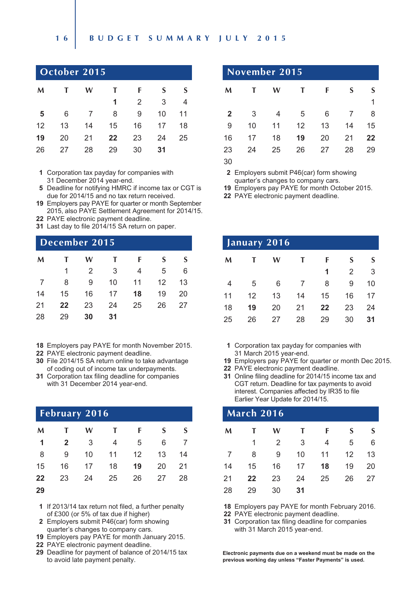#### **1 6 B U D G E T S U M M A R Y J U L Y 2 0 1 5**

| October 2015 |    |    |    |                |    |    |  |  |
|--------------|----|----|----|----------------|----|----|--|--|
| M            |    | w  | Т  | F              | S  | S  |  |  |
|              |    |    | 1  | $\overline{2}$ | 3  | 4  |  |  |
| 5            | 6  | 7  | 8  | 9              | 10 | 11 |  |  |
| 12           | 13 | 14 | 15 | 16             | 17 | 18 |  |  |
| 19           | 20 | 21 | 22 | 23             | 24 | 25 |  |  |
| 26           | 27 | 28 | 29 | 30             | 31 |    |  |  |

 *Corporation tax payday for companies with 31 December 2014 year-end.*

- *Deadline for notifying HMRC if income tax or CGT is due for 2014/15 and no tax return received.*
- *Employers pay PAYE for quarter or month September 2015, also PAYE Settlement Agreement for 2014/15.*
- *PAYE electronic payment deadline.*
- *Last day to file 2014/15 SA return on paper.*

#### **December 2015**

| M              | T  | W              | $\mathbf{T}$            | $-$ F          | $\mathsf{S}$ | <b>S</b> |
|----------------|----|----------------|-------------------------|----------------|--------------|----------|
|                | 1  | $\overline{2}$ | $\overline{\mathbf{3}}$ | $\overline{4}$ | 5            | 6        |
| $7\overline{}$ | 8  | 9              | 10                      | 11             | 12           | 13       |
| 14             | 15 | 16 17          |                         | 18             | 19           | 20       |
| 21             | 22 | 23 24          |                         | 25             | 26           | - 27     |
| 28             | 29 | 30             | 31                      |                |              |          |

- *Employers pay PAYE for month November 2015.*
- *PAYE electronic payment deadline.*
- *File 2014/15 SA return online to take advantage of coding out of income tax underpayments.*
- *Corporation tax filing deadline for companies with 31 December 2014 year-end.*

| February 2016 |              |    |              |    |    |    |  |  |
|---------------|--------------|----|--------------|----|----|----|--|--|
| M             | $\mathbf{T}$ | w  | $\mathbf{T}$ | F  | S  | S  |  |  |
| 1             | $\mathbf{2}$ | 3  | 4            | 5  | 6  |    |  |  |
| 8             | 9            | 10 | 11           | 12 | 13 | 14 |  |  |
| 15            | 16           | 17 | 18           | 19 | 20 | 21 |  |  |
| 22            | 23           | 24 | 25           | 26 | 27 | 28 |  |  |
| 29            |              |    |              |    |    |    |  |  |

- *If 2013/14 tax return not filed, a further penalty of £300 (or 5% of tax due if higher)*
- *Employers submit P46(car) form showing quarter's changes to company cars.*
- *Employers pay PAYE for month January 2015.*
- *PAYE electronic payment deadline.*
- *Deadline for payment of balance of 2014/15 tax to avoid late payment penalty.*

| November 2015  |    |    |    |    |    |    |
|----------------|----|----|----|----|----|----|
| M              | т  | w  | т  | F  | S  |    |
|                |    |    |    |    |    | 1  |
| $\overline{2}$ | 3  | 4  | 5  | 6  | 7  | 8  |
| 9              | 10 | 11 | 12 | 13 | 14 | 15 |
| 16             | 17 | 18 | 19 | 20 | 21 | 22 |
| 23             | 24 | 25 | 26 | 27 | 28 | 29 |
| 30             |    |    |    |    |    |    |

 *Employers submit P46(car) form showing quarter's changes to company cars.*

*Employers pay PAYE for month October 2015.*

*PAYE electronic payment deadline.* 

| January 2016 |    |    |    |    |                |    |  |
|--------------|----|----|----|----|----------------|----|--|
| M            |    | W  | т  | F  | S              | S  |  |
|              |    |    |    | 1  | $\overline{2}$ | 3  |  |
| 4            | 5  | 6  |    | 8  | 9              | 10 |  |
| 11           | 12 | 13 | 14 | 15 | 16             | 17 |  |
| 18           | 19 | 20 | 21 | 22 | 23             | 24 |  |
| 25           | 26 | 27 | 28 | 29 | 30             | 31 |  |

 *Corporation tax payday for companies with 31 March 2015 year-end.*

- *Employers pay PAYE for quarter or month Dec 2015.*
- *PAYE electronic payment deadline.*
- *Online filing deadline for 2014/15 income tax and CGT return. Deadline for tax payments to avoid interest. Companies affected by IR35 to file Earlier Year Update for 2014/15.*

|                | March 2016 |    |    |    |    |    |  |  |  |
|----------------|------------|----|----|----|----|----|--|--|--|
| M              |            | w  | т  | F  | S  | S  |  |  |  |
|                | 1          | 2  | 3  | 4  | 5  | 6  |  |  |  |
| $\overline{7}$ | 8          | 9  | 10 | 11 | 12 | 13 |  |  |  |
| 14             | 15         | 16 | 17 | 18 | 19 | 20 |  |  |  |
| 21             | 22         | 23 | 24 | 25 | 26 | 27 |  |  |  |
| 28             | 29         | 30 | 31 |    |    |    |  |  |  |

*Employers pay PAYE for month February 2016.*

*PAYE electronic payment deadline.* 

 *Corporation tax filing deadline for companies with 31 March 2015 year-end.*

*Electronic payments due on a weekend must be made on the previous working day unless "Faster Payments" is used.*